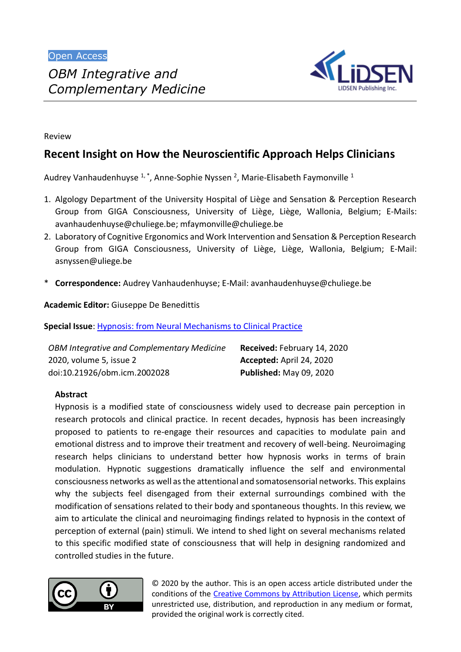*Complementary Medicine*



Review

# **Recent Insight on How the Neuroscientific Approach Helps Clinicians**

Audrey Vanhaudenhuyse  $1, 1$ , Anne-Sophie Nyssen <sup>2</sup>, Marie-Elisabeth Faymonville  $1$ 

- 1. Algology Department of the University Hospital of Liège and Sensation & Perception Research Group from GIGA Consciousness, University of Liège, Liège, Wallonia, Belgium; E-Mails: [avanhaudenhuyse@chuliege.be;](mailto:avanhaudenhuyse@chuliege.be) [mfaymonville@chuliege.be](mailto:mfaymonville@chuliege.be)
- 2. Laboratory of Cognitive Ergonomics and Work Intervention and Sensation & Perception Research Group from GIGA Consciousness, University of Liège, Liège, Wallonia, Belgium; E-Mail: [asnyssen@uliege.be](mailto:asnyssen@uliege.be)
- \* **Correspondence:** Audrey Vanhaudenhuyse; E-Mail: [avanhaudenhuyse@chuliege.be](mailto:avanhaudenhuyse@chuliege.be)

**Academic Editor:** Giuseppe De Benedittis

**Special Issue**: [Hypnosis: from Neural Mechanisms to Clinical Practice](http://www.lidsen.com/journals/icm/icm-special-issues/Hypn-Neural-Mech-Clin-Pract)

| <b>OBM Integrative and Complementary Medicine</b> | Received: February 14, 2020    |
|---------------------------------------------------|--------------------------------|
| 2020, volume 5, issue 2                           | Accepted: April 24, 2020       |
| doi:10.21926/obm.icm.2002028                      | <b>Published: May 09, 2020</b> |

# **Abstract**

Hypnosis is a modified state of consciousness widely used to decrease pain perception in research protocols and clinical practice. In recent decades, hypnosis has been increasingly proposed to patients to re-engage their resources and capacities to modulate pain and emotional distress and to improve their treatment and recovery of well-being. Neuroimaging research helps clinicians to understand better how hypnosis works in terms of brain modulation. Hypnotic suggestions dramatically influence the self and environmental consciousness networks as well as the attentional and somatosensorial networks. This explains why the subjects feel disengaged from their external surroundings combined with the modification of sensations related to their body and spontaneous thoughts. In this review, we aim to articulate the clinical and neuroimaging findings related to hypnosis in the context of perception of external (pain) stimuli. We intend to shed light on several mechanisms related to this specific modified state of consciousness that will help in designing randomized and controlled studies in the future.



© 2020 by the author. This is an open access article distributed under the conditions of the [Creative Commons by Attribution License,](http://creativecommons.org/licenses/by/4.0/) which permits unrestricted use, distribution, and reproduction in any medium or format, provided the original work is correctly cited.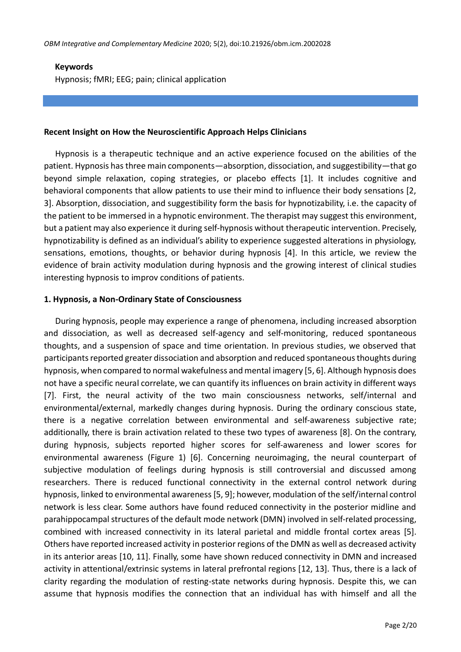### **Keywords**

Hypnosis; fMRI; EEG; pain; clinical application

#### **Recent Insight on How the Neuroscientific Approach Helps Clinicians**

Hypnosis is a therapeutic technique and an active experience focused on the abilities of the patient. Hypnosis hasthree main components—absorption, dissociation, and suggestibility—that go beyond simple relaxation, coping strategies, or placebo effects [1]. It includes cognitive and behavioral components that allow patients to use their mind to influence their body sensations [2, 3]. Absorption, dissociation, and suggestibility form the basis for hypnotizability, i.e. the capacity of the patient to be immersed in a hypnotic environment. The therapist may suggest this environment, but a patient may also experience it during self-hypnosis without therapeutic intervention. Precisely, hypnotizability is defined as an individual's ability to experience suggested alterations in physiology, sensations, emotions, thoughts, or behavior during hypnosis [4]. In this article, we review the evidence of brain activity modulation during hypnosis and the growing interest of clinical studies interesting hypnosis to improv conditions of patients.

### **1. Hypnosis, a Non-Ordinary State of Consciousness**

During hypnosis, people may experience a range of phenomena, including increased absorption and dissociation, as well as decreased self-agency and self-monitoring, reduced spontaneous thoughts, and a suspension of space and time orientation. In previous studies, we observed that participants reported greater dissociation and absorption and reduced spontaneous thoughts during hypnosis, when compared to normal wakefulness and mental imagery [5, 6]. Although hypnosis does not have a specific neural correlate, we can quantify its influences on brain activity in different ways [7]. First, the neural activity of the two main consciousness networks, self/internal and environmental/external, markedly changes during hypnosis. During the ordinary conscious state, there is a negative correlation between environmental and self-awareness subjective rate; additionally, there is brain activation related to these two types of awareness [8]. On the contrary, during hypnosis, subjects reported higher scores for self-awareness and lower scores for environmental awareness (Figure 1) [6]. Concerning neuroimaging, the neural counterpart of subjective modulation of feelings during hypnosis is still controversial and discussed among researchers. There is reduced functional connectivity in the external control network during hypnosis, linked to environmental awareness [5, 9]; however, modulation of the self/internal control network is less clear. Some authors have found reduced connectivity in the posterior midline and parahippocampal structures of the default mode network (DMN) involved in self-related processing, combined with increased connectivity in its lateral parietal and middle frontal cortex areas [5]. Others have reported increased activity in posterior regions of the DMN as well as decreased activity in its anterior areas [10, 11]. Finally, some have shown reduced connectivity in DMN and increased activity in attentional/extrinsic systems in lateral prefrontal regions [12, 13]. Thus, there is a lack of clarity regarding the modulation of resting-state networks during hypnosis. Despite this, we can assume that hypnosis modifies the connection that an individual has with himself and all the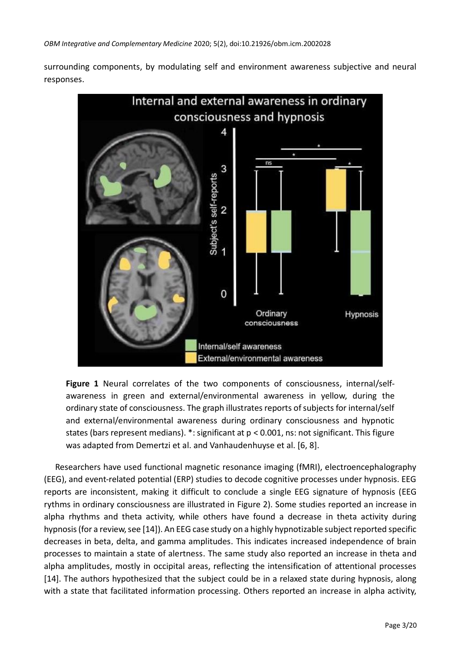surrounding components, by modulating self and environment awareness subjective and neural responses.



**Figure 1** Neural correlates of the two components of consciousness, internal/selfawareness in green and external/environmental awareness in yellow, during the ordinary state of consciousness. The graph illustrates reports of subjects for internal/self and external/environmental awareness during ordinary consciousness and hypnotic states (bars represent medians). \*: significant at p < 0.001, ns: not significant. This figure was adapted from Demertzi et al. and Vanhaudenhuyse et al. [6, 8].

Researchers have used functional magnetic resonance imaging (fMRI), electroencephalography (EEG), and event-related potential (ERP) studies to decode cognitive processes under hypnosis. EEG reports are inconsistent, making it difficult to conclude a single EEG signature of hypnosis (EEG rythms in ordinary consciousness are illustrated in Figure 2). Some studies reported an increase in alpha rhythms and theta activity, while others have found a decrease in theta activity during hypnosis (for a review, see [14]). An EEG case study on a highly hypnotizable subject reported specific decreases in beta, delta, and gamma amplitudes. This indicates increased independence of brain processes to maintain a state of alertness. The same study also reported an increase in theta and alpha amplitudes, mostly in occipital areas, reflecting the intensification of attentional processes [14]. The authors hypothesized that the subject could be in a relaxed state during hypnosis, along with a state that facilitated information processing. Others reported an increase in alpha activity,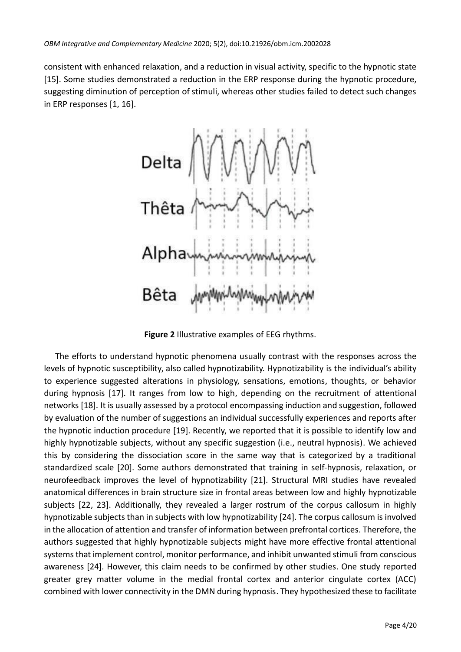consistent with enhanced relaxation, and a reduction in visual activity, specific to the hypnotic state [15]. Some studies demonstrated a reduction in the ERP response during the hypnotic procedure, suggesting diminution of perception of stimuli, whereas other studies failed to detect such changes in ERP responses [1, 16].



**Figure 2** Illustrative examples of EEG rhythms.

The efforts to understand hypnotic phenomena usually contrast with the responses across the levels of hypnotic susceptibility, also called hypnotizability. Hypnotizability is the individual's ability to experience suggested alterations in physiology, sensations, emotions, thoughts, or behavior during hypnosis [17]. It ranges from low to high, depending on the recruitment of attentional networks [18]. It is usually assessed by a protocol encompassing induction and suggestion, followed by evaluation of the number of suggestions an individual successfully experiences and reports after the hypnotic induction procedure [19]. Recently, we reported that it is possible to identify low and highly hypnotizable subjects, without any specific suggestion (i.e., neutral hypnosis). We achieved this by considering the dissociation score in the same way that is categorized by a traditional standardized scale [20]. Some authors demonstrated that training in self-hypnosis, relaxation, or neurofeedback improves the level of hypnotizability [21]. Structural MRI studies have revealed anatomical differences in brain structure size in frontal areas between low and highly hypnotizable subjects [22, 23]. Additionally, they revealed a larger rostrum of the corpus callosum in highly hypnotizable subjects than in subjects with low hypnotizability [24]. The corpus callosum is involved in the allocation of attention and transfer of information between prefrontal cortices. Therefore, the authors suggested that highly hypnotizable subjects might have more effective frontal attentional systems that implement control, monitor performance, and inhibit unwanted stimuli from conscious awareness [24]. However, this claim needs to be confirmed by other studies. One study reported greater grey matter volume in the medial frontal cortex and anterior cingulate cortex (ACC) combined with lower connectivity in the DMN during hypnosis. They hypothesized these to facilitate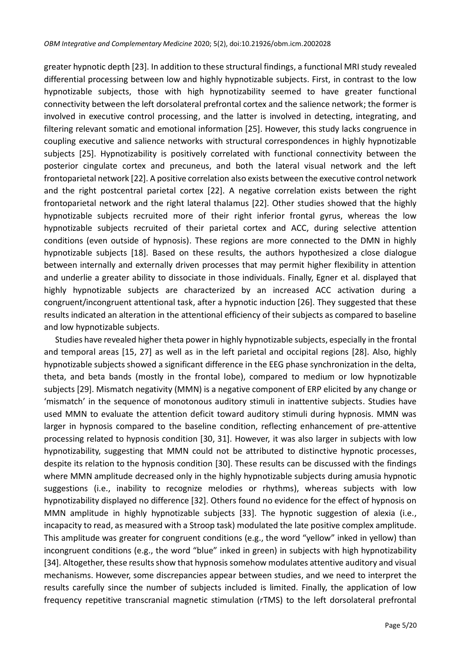greater hypnotic depth [23]. In addition to these structural findings, a functional MRI study revealed differential processing between low and highly hypnotizable subjects. First, in contrast to the low hypnotizable subjects, those with high hypnotizability seemed to have greater functional connectivity between the left dorsolateral prefrontal cortex and the salience network; the former is involved in executive control processing, and the latter is involved in detecting, integrating, and filtering relevant somatic and emotional information [25]. However, this study lacks congruence in coupling executive and salience networks with structural correspondences in highly hypnotizable subjects [25]. Hypnotizability is positively correlated with functional connectivity between the posterior cingulate cortex and precuneus, and both the lateral visual network and the left frontoparietal network [22]. A positive correlation also exists between the executive control network and the right postcentral parietal cortex [22]. A negative correlation exists between the right frontoparietal network and the right lateral thalamus [22]. Other studies showed that the highly hypnotizable subjects recruited more of their right inferior frontal gyrus, whereas the low hypnotizable subjects recruited of their parietal cortex and ACC, during selective attention conditions (even outside of hypnosis). These regions are more connected to the DMN in highly hypnotizable subjects [18]. Based on these results, the authors hypothesized a close dialogue between internally and externally driven processes that may permit higher flexibility in attention and underlie a greater ability to dissociate in those individuals. Finally, Egner et al. displayed that highly hypnotizable subjects are characterized by an increased ACC activation during a congruent/incongruent attentional task, after a hypnotic induction [26]. They suggested that these results indicated an alteration in the attentional efficiency of their subjects as compared to baseline and low hypnotizable subjects.

Studies have revealed higher theta power in highly hypnotizable subjects, especially in the frontal and temporal areas [15, 27] as well as in the left parietal and occipital regions [28]. Also, highly hypnotizable subjects showed a significant difference in the EEG phase synchronization in the delta, theta, and beta bands (mostly in the frontal lobe), compared to medium or low hypnotizable subjects [29]. Mismatch negativity (MMN) is a negative component of ERP elicited by any change or 'mismatch' in the sequence of monotonous auditory stimuli in inattentive subjects. Studies have used MMN to evaluate the attention deficit toward auditory stimuli during hypnosis. MMN was larger in hypnosis compared to the baseline condition, reflecting enhancement of pre-attentive processing related to hypnosis condition [30, 31]. However, it was also larger in subjects with low hypnotizability, suggesting that MMN could not be attributed to distinctive hypnotic processes, despite its relation to the hypnosis condition [30]. These results can be discussed with the findings where MMN amplitude decreased only in the highly hypnotizable subjects during amusia hypnotic suggestions (i.e., inability to recognize melodies or rhythms), whereas subjects with low hypnotizability displayed no difference [32]. Others found no evidence for the effect of hypnosis on MMN amplitude in highly hypnotizable subjects [33]. The hypnotic suggestion of alexia (i.e., incapacity to read, as measured with a Stroop task) modulated the late positive complex amplitude. This amplitude was greater for congruent conditions (e.g., the word "yellow" inked in yellow) than incongruent conditions (e.g., the word "blue" inked in green) in subjects with high hypnotizability [34]. Altogether, these results show that hypnosis somehow modulates attentive auditory and visual mechanisms. However, some discrepancies appear between studies, and we need to interpret the results carefully since the number of subjects included is limited. Finally, the application of low frequency repetitive transcranial magnetic stimulation (rTMS) to the left dorsolateral prefrontal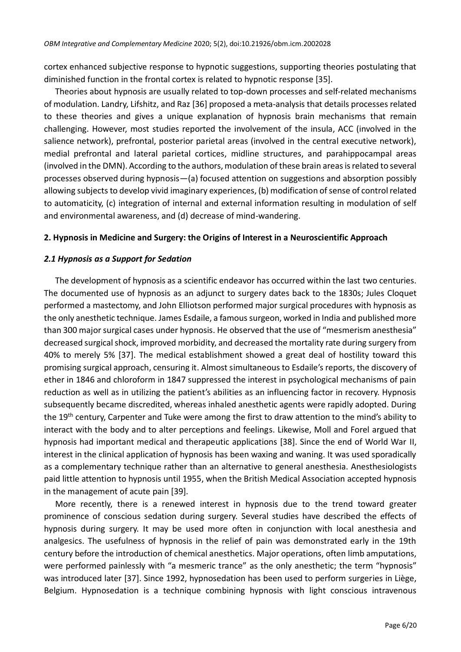cortex enhanced subjective response to hypnotic suggestions, supporting theories postulating that diminished function in the frontal cortex is related to hypnotic response [35].

Theories about hypnosis are usually related to top-down processes and self-related mechanisms of modulation. Landry, Lifshitz, and Raz [36] proposed a meta-analysis that details processes related to these theories and gives a unique explanation of hypnosis brain mechanisms that remain challenging. However, most studies reported the involvement of the insula, ACC (involved in the salience network), prefrontal, posterior parietal areas (involved in the central executive network), medial prefrontal and lateral parietal cortices, midline structures, and parahippocampal areas (involved in the DMN). According to the authors, modulation of these brain areas isrelated to several processes observed during hypnosis—(a) focused attention on suggestions and absorption possibly allowing subjects to develop vivid imaginary experiences, (b) modification of sense of control related to automaticity, (c) integration of internal and external information resulting in modulation of self and environmental awareness, and (d) decrease of mind-wandering.

### **2. Hypnosis in Medicine and Surgery: the Origins of Interest in a Neuroscientific Approach**

### *2.1 Hypnosis as a Support for Sedation*

The development of hypnosis as a scientific endeavor has occurred within the last two centuries. The documented use of hypnosis as an adjunct to surgery dates back to the 1830s; Jules Cloquet performed a mastectomy, and John Elliotson performed major surgical procedures with hypnosis as the only anesthetic technique. James Esdaile, a famous surgeon, worked in India and published more than 300 major surgical cases under hypnosis. He observed that the use of "mesmerism anesthesia" decreased surgical shock, improved morbidity, and decreased the mortality rate during surgery from 40% to merely 5% [37]. The medical establishment showed a great deal of hostility toward this promising surgical approach, censuring it. Almost simultaneous to Esdaile's reports, the discovery of ether in 1846 and chloroform in 1847 suppressed the interest in psychological mechanisms of pain reduction as well as in utilizing the patient's abilities as an influencing factor in recovery. Hypnosis subsequently became discredited, whereas inhaled anesthetic agents were rapidly adopted. During the 19<sup>th</sup> century, Carpenter and Tuke were among the first to draw attention to the mind's ability to interact with the body and to alter perceptions and feelings. Likewise, Moll and Forel argued that hypnosis had important medical and therapeutic applications [38]. Since the end of World War II, interest in the clinical application of hypnosis has been waxing and waning. It was used sporadically as a complementary technique rather than an alternative to general anesthesia. Anesthesiologists paid little attention to hypnosis until 1955, when the British Medical Association accepted hypnosis in the management of acute pain [39].

More recently, there is a renewed interest in hypnosis due to the trend toward greater prominence of conscious sedation during surgery. Several studies have described the effects of hypnosis during surgery. It may be used more often in conjunction with local anesthesia and analgesics. The usefulness of hypnosis in the relief of pain was demonstrated early in the 19th century before the introduction of chemical anesthetics. Major operations, often limb amputations, were performed painlessly with "a mesmeric trance" as the only anesthetic; the term "hypnosis" was introduced later [37]. Since 1992, hypnosedation has been used to perform surgeries in Liège, Belgium. Hypnosedation is a technique combining hypnosis with light conscious intravenous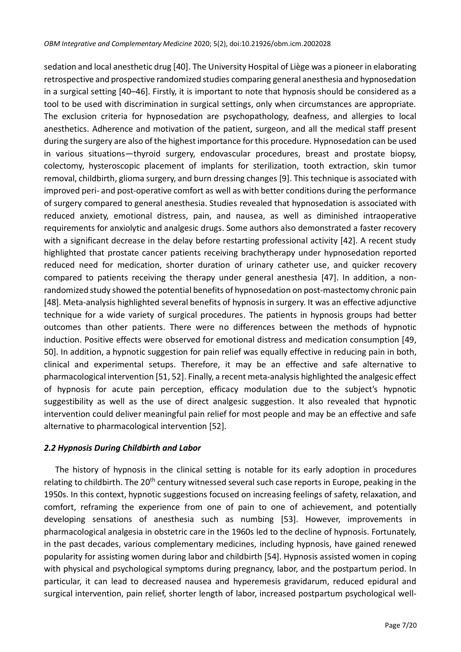sedation and local anesthetic drug [40]. The University Hospital of Liège was a pioneer in elaborating retrospective and prospective randomized studies comparing general anesthesia and hypnosedation in a surgical setting [40–46]. Firstly, it is important to note that hypnosis should be considered as a tool to be used with discrimination in surgical settings, only when circumstances are appropriate. The exclusion criteria for hypnosedation are psychopathology, deafness, and allergies to local anesthetics. Adherence and motivation of the patient, surgeon, and all the medical staff present during the surgery are also of the highest importance for this procedure. Hypnosedation can be used in various situations—thyroid surgery, endovascular procedures, breast and prostate biopsy, colectomy, hysteroscopic placement of implants for sterilization, tooth extraction, skin tumor removal, childbirth, glioma surgery, and burn dressing changes [9]. This technique is associated with improved peri- and post-operative comfort as well as with better conditions during the performance of surgery compared to general anesthesia. Studies revealed that hypnosedation is associated with reduced anxiety, emotional distress, pain, and nausea, as well as diminished intraoperative requirements for anxiolytic and analgesic drugs. Some authors also demonstrated a faster recovery with a significant decrease in the delay before restarting professional activity [42]. A recent study highlighted that prostate cancer patients receiving brachytherapy under hypnosedation reported reduced need for medication, shorter duration of urinary catheter use, and quicker recovery compared to patients receiving the therapy under general anesthesia [47]. In addition, a nonrandomized study showed the potential benefits of hypnosedation on post-mastectomy chronic pain [48]. Meta-analysis highlighted several benefits of hypnosis in surgery. It was an effective adjunctive technique for a wide variety of surgical procedures. The patients in hypnosis groups had better outcomes than other patients. There were no differences between the methods of hypnotic induction. Positive effects were observed for emotional distress and medication consumption [49, 50]. In addition, a hypnotic suggestion for pain relief was equally effective in reducing pain in both, clinical and experimental setups. Therefore, it may be an effective and safe alternative to pharmacological intervention [51, 52]. Finally, a recent meta-analysis highlighted the analgesic effect of hypnosis for acute pain perception, efficacy modulation due to the subject's hypnotic suggestibility as well as the use of direct analgesic suggestion. It also revealed that hypnotic intervention could deliver meaningful pain relief for most people and may be an effective and safe alternative to pharmacological intervention [52].

# *2.2 Hypnosis During Childbirth and Labor*

The history of hypnosis in the clinical setting is notable for its early adoption in procedures relating to childbirth. The 20<sup>th</sup> century witnessed several such case reports in Europe, peaking in the 1950s. In this context, hypnotic suggestions focused on increasing feelings of safety, relaxation, and comfort, reframing the experience from one of pain to one of achievement, and potentially developing sensations of anesthesia such as numbing [53]. However, improvements in pharmacological analgesia in obstetric care in the 1960s led to the decline of hypnosis. Fortunately, in the past decades, various complementary medicines, including hypnosis, have gained renewed popularity for assisting women during labor and childbirth [54]. Hypnosis assisted women in coping with physical and psychological symptoms during pregnancy, labor, and the postpartum period. In particular, it can lead to decreased nausea and hyperemesis gravidarum, reduced epidural and surgical intervention, pain relief, shorter length of labor, increased postpartum psychological well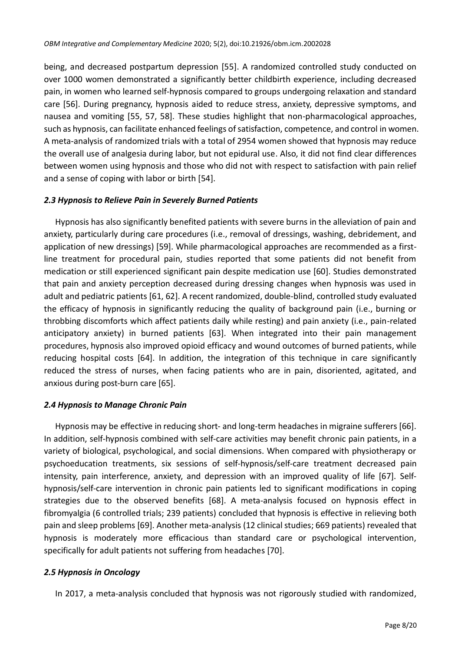being, and decreased postpartum depression [55]. A randomized controlled study conducted on over 1000 women demonstrated a significantly better childbirth experience, including decreased pain, in women who learned self-hypnosis compared to groups undergoing relaxation and standard care [56]. During pregnancy, hypnosis aided to reduce stress, anxiety, depressive symptoms, and nausea and vomiting [55, 57, 58]. These studies highlight that non-pharmacological approaches, such as hypnosis, can facilitate enhanced feelings of satisfaction, competence, and control in women. A meta-analysis of randomized trials with a total of 2954 women showed that hypnosis may reduce the overall use of analgesia during labor, but not epidural use. Also, it did not find clear differences between women using hypnosis and those who did not with respect to satisfaction with pain relief and a sense of coping with labor or birth [54].

# *2.3 Hypnosis to Relieve Pain in Severely Burned Patients*

Hypnosis has also significantly benefited patients with severe burns in the alleviation of pain and anxiety, particularly during care procedures (i.e., removal of dressings, washing, debridement, and application of new dressings) [59]. While pharmacological approaches are recommended as a firstline treatment for procedural pain, studies reported that some patients did not benefit from medication or still experienced significant pain despite medication use [60]. Studies demonstrated that pain and anxiety perception decreased during dressing changes when hypnosis was used in adult and pediatric patients [61, 62]. A recent randomized, double-blind, controlled study evaluated the efficacy of hypnosis in significantly reducing the quality of background pain (i.e., burning or throbbing discomforts which affect patients daily while resting) and pain anxiety (i.e., pain-related anticipatory anxiety) in burned patients [63]. When integrated into their pain management procedures, hypnosis also improved opioid efficacy and wound outcomes of burned patients, while reducing hospital costs [64]. In addition, the integration of this technique in care significantly reduced the stress of nurses, when facing patients who are in pain, disoriented, agitated, and anxious during post-burn care [65].

# *2.4 Hypnosis to Manage Chronic Pain*

Hypnosis may be effective in reducing short- and long-term headaches in migraine sufferers [66]. In addition, self-hypnosis combined with self-care activities may benefit chronic pain patients, in a variety of biological, psychological, and social dimensions. When compared with physiotherapy or psychoeducation treatments, six sessions of self-hypnosis/self-care treatment decreased pain intensity, pain interference, anxiety, and depression with an improved quality of life [67]. Selfhypnosis/self-care intervention in chronic pain patients led to significant modifications in coping strategies due to the observed benefits [68]. A meta-analysis focused on hypnosis effect in fibromyalgia (6 controlled trials; 239 patients) concluded that hypnosis is effective in relieving both pain and sleep problems [69]. Another meta-analysis (12 clinical studies; 669 patients) revealed that hypnosis is moderately more efficacious than standard care or psychological intervention, specifically for adult patients not suffering from headaches [70].

# *2.5 Hypnosis in Oncology*

In 2017, a meta-analysis concluded that hypnosis was not rigorously studied with randomized,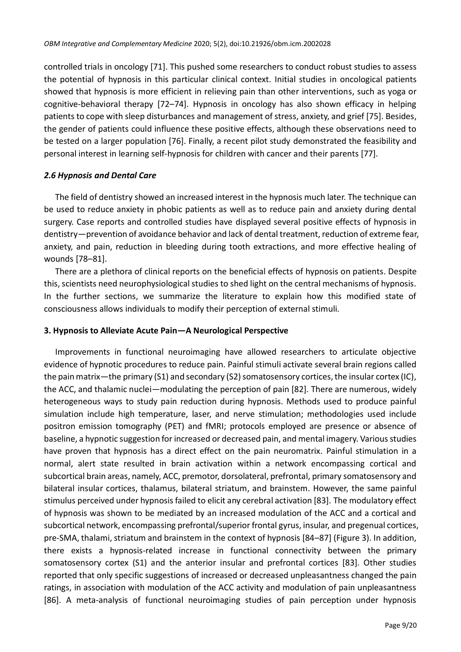controlled trials in oncology [71]. This pushed some researchers to conduct robust studies to assess the potential of hypnosis in this particular clinical context. Initial studies in oncological patients showed that hypnosis is more efficient in relieving pain than other interventions, such as yoga or cognitive-behavioral therapy [72–74]. Hypnosis in oncology has also shown efficacy in helping patients to cope with sleep disturbances and management of stress, anxiety, and grief [75]. Besides, the gender of patients could influence these positive effects, although these observations need to be tested on a larger population [76]. Finally, a recent pilot study demonstrated the feasibility and personal interest in learning self-hypnosis for children with cancer and their parents [77].

# *2.6 Hypnosis and Dental Care*

The field of dentistry showed an increased interest in the hypnosis much later. The technique can be used to reduce anxiety in phobic patients as well as to reduce pain and anxiety during dental surgery. Case reports and controlled studies have displayed several positive effects of hypnosis in dentistry—prevention of avoidance behavior and lack of dental treatment, reduction of extreme fear, anxiety, and pain, reduction in bleeding during tooth extractions, and more effective healing of wounds [78–81].

There are a plethora of clinical reports on the beneficial effects of hypnosis on patients. Despite this, scientists need neurophysiological studies to shed light on the central mechanisms of hypnosis. In the further sections, we summarize the literature to explain how this modified state of consciousness allows individuals to modify their perception of external stimuli.

### **3. Hypnosis to Alleviate Acute Pain—A Neurological Perspective**

Improvements in functional neuroimaging have allowed researchers to articulate objective evidence of hypnotic procedures to reduce pain. Painful stimuli activate several brain regions called the pain matrix—the primary (S1) and secondary (S2) somatosensory cortices, the insular cortex (IC), the ACC, and thalamic nuclei—modulating the perception of pain [82]. There are numerous, widely heterogeneous ways to study pain reduction during hypnosis. Methods used to produce painful simulation include high temperature, laser, and nerve stimulation; methodologies used include positron emission tomography (PET) and fMRI; protocols employed are presence or absence of baseline, a hypnotic suggestion for increased or decreased pain, and mental imagery. Various studies have proven that hypnosis has a direct effect on the pain neuromatrix. Painful stimulation in a normal, alert state resulted in brain activation within a network encompassing cortical and subcortical brain areas, namely, ACC, premotor, dorsolateral, prefrontal, primary somatosensory and bilateral insular cortices, thalamus, bilateral striatum, and brainstem. However, the same painful stimulus perceived under hypnosis failed to elicit any cerebral activation [83]. The modulatory effect of hypnosis was shown to be mediated by an increased modulation of the ACC and a cortical and subcortical network, encompassing prefrontal/superior frontal gyrus, insular, and pregenual cortices, pre-SMA, thalami, striatum and brainstem in the context of hypnosis [84–87] (Figure 3). In addition, there exists a hypnosis-related increase in functional connectivity between the primary somatosensory cortex (S1) and the anterior insular and prefrontal cortices [83]. Other studies reported that only specific suggestions of increased or decreased unpleasantness changed the pain ratings, in association with modulation of the ACC activity and modulation of pain unpleasantness [86]. A meta-analysis of functional neuroimaging studies of pain perception under hypnosis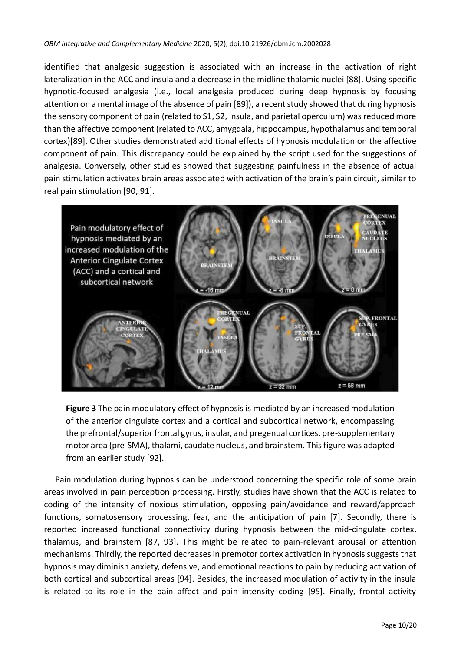identified that analgesic suggestion is associated with an increase in the activation of right lateralization in the ACC and insula and a decrease in the midline thalamic nuclei [88]. Using specific hypnotic-focused analgesia (i.e., local analgesia produced during deep hypnosis by focusing attention on a mental image of the absence of pain [89]), a recent study showed that during hypnosis the sensory component of pain (related to S1, S2, insula, and parietal operculum) was reduced more than the affective component (related to ACC, amygdala, hippocampus, hypothalamus and temporal cortex)[89]. Other studies demonstrated additional effects of hypnosis modulation on the affective component of pain. This discrepancy could be explained by the script used for the suggestions of analgesia. Conversely, other studies showed that suggesting painfulness in the absence of actual pain stimulation activates brain areas associated with activation of the brain's pain circuit, similar to real pain stimulation [90, 91].



**Figure 3** The pain modulatory effect of hypnosis is mediated by an increased modulation of the anterior cingulate cortex and a cortical and subcortical network, encompassing the prefrontal/superior frontal gyrus, insular, and pregenual cortices, pre-supplementary motor area (pre-SMA), thalami, caudate nucleus, and brainstem. This figure was adapted from an earlier study [92].

Pain modulation during hypnosis can be understood concerning the specific role of some brain areas involved in pain perception processing. Firstly, studies have shown that the ACC is related to coding of the intensity of noxious stimulation, opposing pain/avoidance and reward/approach functions, somatosensory processing, fear, and the anticipation of pain [7]. Secondly, there is reported increased functional connectivity during hypnosis between the mid-cingulate cortex, thalamus, and brainstem [87, 93]. This might be related to pain-relevant arousal or attention mechanisms. Thirdly, the reported decreases in premotor cortex activation in hypnosis suggests that hypnosis may diminish anxiety, defensive, and emotional reactions to pain by reducing activation of both cortical and subcortical areas [94]. Besides, the increased modulation of activity in the insula is related to its role in the pain affect and pain intensity coding [95]. Finally, frontal activity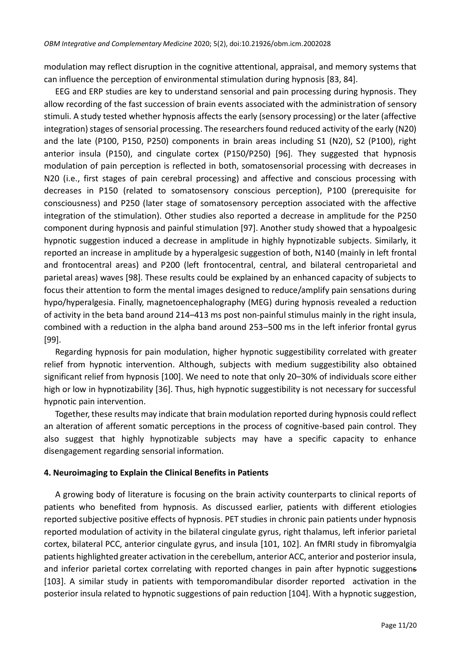modulation may reflect disruption in the cognitive attentional, appraisal, and memory systems that can influence the perception of environmental stimulation during hypnosis [83, 84].

EEG and ERP studies are key to understand sensorial and pain processing during hypnosis. They allow recording of the fast succession of brain events associated with the administration of sensory stimuli. A study tested whether hypnosis affects the early (sensory processing) or the later (affective integration) stages of sensorial processing. The researchers found reduced activity of the early (N20) and the late (P100, P150, P250) components in brain areas including S1 (N20), S2 (P100), right anterior insula (P150), and cingulate cortex (P150/P250) [96]. They suggested that hypnosis modulation of pain perception is reflected in both, somatosensorial processing with decreases in N20 (i.e., first stages of pain cerebral processing) and affective and conscious processing with decreases in P150 (related to somatosensory conscious perception), P100 (prerequisite for consciousness) and P250 (later stage of somatosensory perception associated with the affective integration of the stimulation). Other studies also reported a decrease in amplitude for the P250 component during hypnosis and painful stimulation [97]. Another study showed that a hypoalgesic hypnotic suggestion induced a decrease in amplitude in highly hypnotizable subjects. Similarly, it reported an increase in amplitude by a hyperalgesic suggestion of both, N140 (mainly in left frontal and frontocentral areas) and P200 (left frontocentral, central, and bilateral centroparietal and parietal areas) waves [98]. These results could be explained by an enhanced capacity of subjects to focus their attention to form the mental images designed to reduce/amplify pain sensations during hypo/hyperalgesia. Finally, magnetoencephalography (MEG) during hypnosis revealed a reduction of activity in the beta band around 214–413 ms post non-painful stimulus mainly in the right insula, combined with a reduction in the alpha band around 253–500 ms in the left inferior frontal gyrus [99].

Regarding hypnosis for pain modulation, higher hypnotic suggestibility correlated with greater relief from hypnotic intervention. Although, subjects with medium suggestibility also obtained significant relief from hypnosis [100]. We need to note that only 20–30% of individuals score either high or low in hypnotizability [36]. Thus, high hypnotic suggestibility is not necessary for successful hypnotic pain intervention.

Together, these results may indicate that brain modulation reported during hypnosis could reflect an alteration of afferent somatic perceptions in the process of cognitive-based pain control. They also suggest that highly hypnotizable subjects may have a specific capacity to enhance disengagement regarding sensorial information.

# **4. Neuroimaging to Explain the Clinical Benefits in Patients**

A growing body of literature is focusing on the brain activity counterparts to clinical reports of patients who benefited from hypnosis. As discussed earlier, patients with different etiologies reported subjective positive effects of hypnosis. PET studies in chronic pain patients under hypnosis reported modulation of activity in the bilateral cingulate gyrus, right thalamus, left inferior parietal cortex, bilateral PCC, anterior cingulate gyrus, and insula [101, 102]. An fMRI study in fibromyalgia patients highlighted greater activation in the cerebellum, anterior ACC, anterior and posterior insula, and inferior parietal cortex correlating with reported changes in pain after hypnotic suggestions [103]. A similar study in patients with temporomandibular disorder reported activation in the posterior insula related to hypnotic suggestions of pain reduction [104]. With a hypnotic suggestion,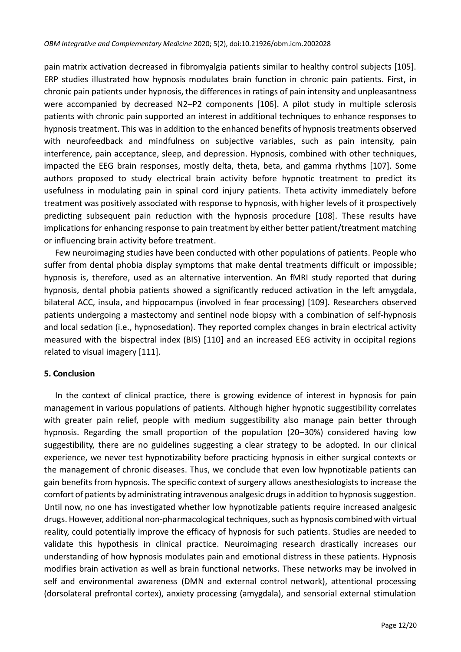pain matrix activation decreased in fibromyalgia patients similar to healthy control subjects [105]. ERP studies illustrated how hypnosis modulates brain function in chronic pain patients. First, in chronic pain patients under hypnosis, the differences in ratings of pain intensity and unpleasantness were accompanied by decreased N2–P2 components [106]. A pilot study in multiple sclerosis patients with chronic pain supported an interest in additional techniques to enhance responses to hypnosis treatment. This was in addition to the enhanced benefits of hypnosis treatments observed with neurofeedback and mindfulness on subjective variables, such as pain intensity, pain interference, pain acceptance, sleep, and depression. Hypnosis, combined with other techniques, impacted the EEG brain responses, mostly delta, theta, beta, and gamma rhythms [107]. Some authors proposed to study electrical brain activity before hypnotic treatment to predict its usefulness in modulating pain in spinal cord injury patients. Theta activity immediately before treatment was positively associated with response to hypnosis, with higher levels of it prospectively predicting subsequent pain reduction with the hypnosis procedure [108]. These results have implications for enhancing response to pain treatment by either better patient/treatment matching or influencing brain activity before treatment.

Few neuroimaging studies have been conducted with other populations of patients. People who suffer from dental phobia display symptoms that make dental treatments difficult or impossible; hypnosis is, therefore, used as an alternative intervention. An fMRI study reported that during hypnosis, dental phobia patients showed a significantly reduced activation in the left amygdala, bilateral ACC, insula, and hippocampus (involved in fear processing) [109]. Researchers observed patients undergoing a mastectomy and sentinel node biopsy with a combination of self-hypnosis and local sedation (i.e., hypnosedation). They reported complex changes in brain electrical activity measured with the bispectral index (BIS) [110] and an increased EEG activity in occipital regions related to visual imagery [111].

#### **5. Conclusion**

In the context of clinical practice, there is growing evidence of interest in hypnosis for pain management in various populations of patients. Although higher hypnotic suggestibility correlates with greater pain relief, people with medium suggestibility also manage pain better through hypnosis. Regarding the small proportion of the population (20–30%) considered having low suggestibility, there are no guidelines suggesting a clear strategy to be adopted. In our clinical experience, we never test hypnotizability before practicing hypnosis in either surgical contexts or the management of chronic diseases. Thus, we conclude that even low hypnotizable patients can gain benefits from hypnosis. The specific context of surgery allows anesthesiologists to increase the comfort of patients by administrating intravenous analgesic drugs in addition to hypnosis suggestion. Until now, no one has investigated whether low hypnotizable patients require increased analgesic drugs. However, additional non-pharmacological techniques, such as hypnosis combined with virtual reality, could potentially improve the efficacy of hypnosis for such patients. Studies are needed to validate this hypothesis in clinical practice. Neuroimaging research drastically increases our understanding of how hypnosis modulates pain and emotional distress in these patients. Hypnosis modifies brain activation as well as brain functional networks. These networks may be involved in self and environmental awareness (DMN and external control network), attentional processing (dorsolateral prefrontal cortex), anxiety processing (amygdala), and sensorial external stimulation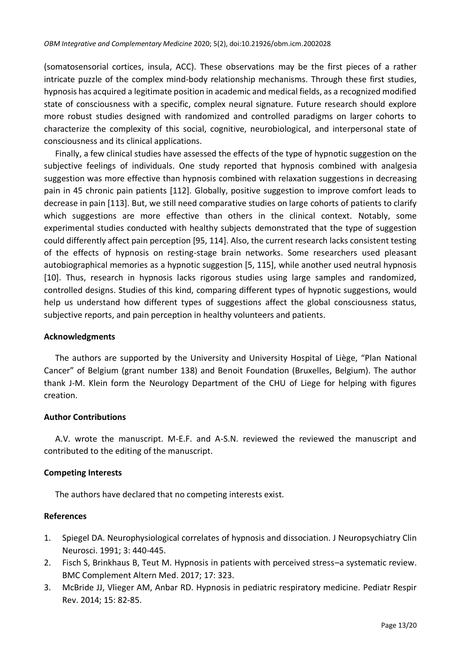(somatosensorial cortices, insula, ACC). These observations may be the first pieces of a rather intricate puzzle of the complex mind-body relationship mechanisms. Through these first studies, hypnosis has acquired a legitimate position in academic and medical fields, as a recognized modified state of consciousness with a specific, complex neural signature. Future research should explore more robust studies designed with randomized and controlled paradigms on larger cohorts to characterize the complexity of this social, cognitive, neurobiological, and interpersonal state of consciousness and its clinical applications.

Finally, a few clinical studies have assessed the effects of the type of hypnotic suggestion on the subjective feelings of individuals. One study reported that hypnosis combined with analgesia suggestion was more effective than hypnosis combined with relaxation suggestions in decreasing pain in 45 chronic pain patients [112]. Globally, positive suggestion to improve comfort leads to decrease in pain [113]. But, we still need comparative studies on large cohorts of patients to clarify which suggestions are more effective than others in the clinical context. Notably, some experimental studies conducted with healthy subjects demonstrated that the type of suggestion could differently affect pain perception [95, 114]. Also, the current research lacks consistent testing of the effects of hypnosis on resting-stage brain networks. Some researchers used pleasant autobiographical memories as a hypnotic suggestion [5, 115], while another used neutral hypnosis [10]. Thus, research in hypnosis lacks rigorous studies using large samples and randomized, controlled designs. Studies of this kind, comparing different types of hypnotic suggestions, would help us understand how different types of suggestions affect the global consciousness status, subjective reports, and pain perception in healthy volunteers and patients.

#### **Acknowledgments**

The authors are supported by the University and University Hospital of Liège, "Plan National Cancer" of Belgium (grant number 138) and Benoit Foundation (Bruxelles, Belgium). The author thank J-M. Klein form the Neurology Department of the CHU of Liege for helping with figures creation.

# **Author Contributions**

A.V. wrote the manuscript. M-E.F. and A-S.N. reviewed the reviewed the manuscript and contributed to the editing of the manuscript.

# **Competing Interests**

The authors have declared that no competing interests exist.

#### **References**

- 1. Spiegel DA. Neurophysiological correlates of hypnosis and dissociation. J Neuropsychiatry Clin Neurosci. 1991; 3: 440-445.
- 2. Fisch S, Brinkhaus B, Teut M. Hypnosis in patients with perceived stress–a systematic review. BMC Complement Altern Med. 2017; 17: 323.
- 3. McBride JJ, Vlieger AM, Anbar RD. Hypnosis in pediatric respiratory medicine. Pediatr Respir Rev. 2014; 15: 82-85.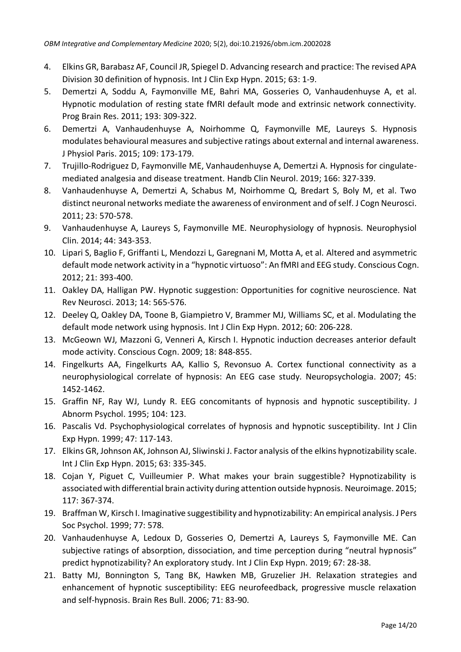- 4. Elkins GR, Barabasz AF, Council JR, Spiegel D. Advancing research and practice: The revised APA Division 30 definition of hypnosis. Int J Clin Exp Hypn. 2015; 63: 1-9.
- 5. Demertzi A, Soddu A, Faymonville ME, Bahri MA, Gosseries O, Vanhaudenhuyse A, et al. Hypnotic modulation of resting state fMRI default mode and extrinsic network connectivity. Prog Brain Res. 2011; 193: 309-322.
- 6. Demertzi A, Vanhaudenhuyse A, Noirhomme Q, Faymonville ME, Laureys S. Hypnosis modulates behavioural measures and subjective ratings about external and internal awareness. J Physiol Paris. 2015; 109: 173-179.
- 7. Trujillo-Rodriguez D, Faymonville ME, Vanhaudenhuyse A, Demertzi A. Hypnosis for cingulatemediated analgesia and disease treatment. Handb Clin Neurol. 2019; 166: 327-339.
- 8. Vanhaudenhuyse A, Demertzi A, Schabus M, Noirhomme Q, Bredart S, Boly M, et al. Two distinct neuronal networks mediate the awareness of environment and of self. J Cogn Neurosci. 2011; 23: 570-578.
- 9. Vanhaudenhuyse A, Laureys S, Faymonville ME. Neurophysiology of hypnosis. Neurophysiol Clin. 2014; 44: 343-353.
- 10. Lipari S, Baglio F, Griffanti L, Mendozzi L, Garegnani M, Motta A, et al. Altered and asymmetric default mode network activity in a "hypnotic virtuoso": An fMRI and EEG study. Conscious Cogn. 2012; 21: 393-400.
- 11. Oakley DA, Halligan PW. Hypnotic suggestion: Opportunities for cognitive neuroscience. Nat Rev Neurosci. 2013; 14: 565-576.
- 12. Deeley Q, Oakley DA, Toone B, Giampietro V, Brammer MJ, Williams SC, et al. Modulating the default mode network using hypnosis. Int J Clin Exp Hypn. 2012; 60: 206-228.
- 13. McGeown WJ, Mazzoni G, Venneri A, Kirsch I. Hypnotic induction decreases anterior default mode activity. Conscious Cogn. 2009; 18: 848-855.
- 14. Fingelkurts AA, Fingelkurts AA, Kallio S, Revonsuo A. Cortex functional connectivity as a neurophysiological correlate of hypnosis: An EEG case study. Neuropsychologia. 2007; 45: 1452-1462.
- 15. Graffin NF, Ray WJ, Lundy R. EEG concomitants of hypnosis and hypnotic susceptibility. J Abnorm Psychol. 1995; 104: 123.
- 16. Pascalis Vd. Psychophysiological correlates of hypnosis and hypnotic susceptibility. Int J Clin Exp Hypn. 1999; 47: 117-143.
- 17. Elkins GR, Johnson AK, Johnson AJ, Sliwinski J. Factor analysis of the elkins hypnotizability scale. Int J Clin Exp Hypn. 2015; 63: 335-345.
- 18. Cojan Y, Piguet C, Vuilleumier P. What makes your brain suggestible? Hypnotizability is associated with differential brain activity during attention outside hypnosis. Neuroimage. 2015; 117: 367-374.
- 19. Braffman W, Kirsch I. Imaginative suggestibility and hypnotizability: An empirical analysis. J Pers Soc Psychol. 1999; 77: 578.
- 20. Vanhaudenhuyse A, Ledoux D, Gosseries O, Demertzi A, Laureys S, Faymonville ME. Can subjective ratings of absorption, dissociation, and time perception during "neutral hypnosis" predict hypnotizability? An exploratory study. Int J Clin Exp Hypn. 2019; 67: 28-38.
- 21. Batty MJ, Bonnington S, Tang BK, Hawken MB, Gruzelier JH. Relaxation strategies and enhancement of hypnotic susceptibility: EEG neurofeedback, progressive muscle relaxation and self-hypnosis. Brain Res Bull. 2006; 71: 83-90.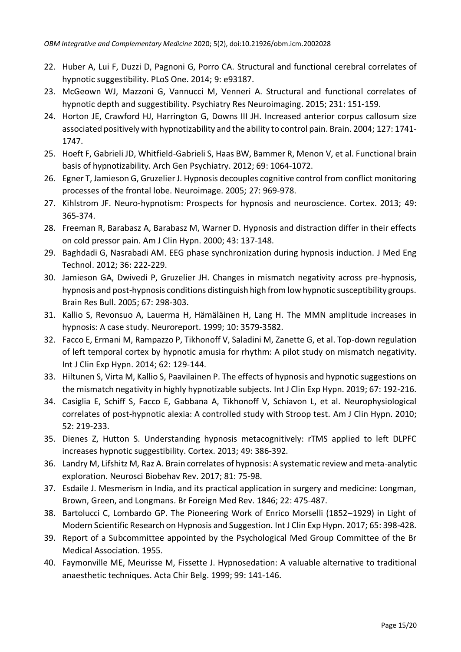- 22. Huber A, Lui F, Duzzi D, Pagnoni G, Porro CA. Structural and functional cerebral correlates of hypnotic suggestibility. PLoS One. 2014; 9: e93187.
- 23. McGeown WJ, Mazzoni G, Vannucci M, Venneri A. Structural and functional correlates of hypnotic depth and suggestibility. Psychiatry Res Neuroimaging. 2015; 231: 151-159.
- 24. Horton JE, Crawford HJ, Harrington G, Downs III JH. Increased anterior corpus callosum size associated positively with hypnotizability and the ability to control pain. Brain. 2004; 127: 1741- 1747.
- 25. Hoeft F, Gabrieli JD, Whitfield-Gabrieli S, Haas BW, Bammer R, Menon V, et al. Functional brain basis of hypnotizability. Arch Gen Psychiatry. 2012; 69: 1064-1072.
- 26. Egner T, Jamieson G, Gruzelier J. Hypnosis decouples cognitive control from conflict monitoring processes of the frontal lobe. Neuroimage. 2005; 27: 969-978.
- 27. Kihlstrom JF. Neuro-hypnotism: Prospects for hypnosis and neuroscience. Cortex. 2013; 49: 365-374.
- 28. Freeman R, Barabasz A, Barabasz M, Warner D. Hypnosis and distraction differ in their effects on cold pressor pain. Am J Clin Hypn. 2000; 43: 137-148.
- 29. Baghdadi G, Nasrabadi AM. EEG phase synchronization during hypnosis induction. J Med Eng Technol. 2012; 36: 222-229.
- 30. Jamieson GA, Dwivedi P, Gruzelier JH. Changes in mismatch negativity across pre-hypnosis, hypnosis and post-hypnosis conditions distinguish high from low hypnotic susceptibility groups. Brain Res Bull. 2005; 67: 298-303.
- 31. Kallio S, Revonsuo A, Lauerma H, Hämäläinen H, Lang H. The MMN amplitude increases in hypnosis: A case study. Neuroreport. 1999; 10: 3579-3582.
- 32. Facco E, Ermani M, Rampazzo P, Tikhonoff V, Saladini M, Zanette G, et al. Top-down regulation of left temporal cortex by hypnotic amusia for rhythm: A pilot study on mismatch negativity. Int J Clin Exp Hypn. 2014; 62: 129-144.
- 33. Hiltunen S, Virta M, Kallio S, Paavilainen P. The effects of hypnosis and hypnotic suggestions on the mismatch negativity in highly hypnotizable subjects. Int J Clin Exp Hypn. 2019; 67: 192-216.
- 34. Casiglia E, Schiff S, Facco E, Gabbana A, Tikhonoff V, Schiavon L, et al. Neurophysiological correlates of post-hypnotic alexia: A controlled study with Stroop test. Am J Clin Hypn. 2010; 52: 219-233.
- 35. Dienes Z, Hutton S. Understanding hypnosis metacognitively: rTMS applied to left DLPFC increases hypnotic suggestibility. Cortex. 2013; 49: 386-392.
- 36. Landry M, Lifshitz M, Raz A. Brain correlates of hypnosis: A systematic review and meta-analytic exploration. Neurosci Biobehav Rev. 2017; 81: 75-98.
- 37. Esdaile J. Mesmerism in India, and its practical application in surgery and medicine: Longman, Brown, Green, and Longmans. Br Foreign Med Rev. 1846; 22: 475-487.
- 38. Bartolucci C, Lombardo GP. The Pioneering Work of Enrico Morselli (1852–1929) in Light of Modern Scientific Research on Hypnosis and Suggestion. Int J Clin Exp Hypn. 2017; 65: 398-428.
- 39. Report of a Subcommittee appointed by the Psychological Med Group Committee of the Br Medical Association. 1955.
- 40. Faymonville ME, Meurisse M, Fissette J. Hypnosedation: A valuable alternative to traditional anaesthetic techniques. Acta Chir Belg. 1999; 99: 141-146.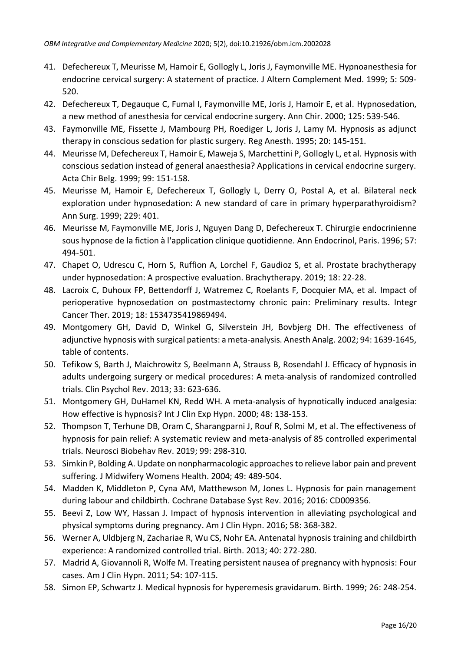- 41. Defechereux T, Meurisse M, Hamoir E, Gollogly L, Joris J, Faymonville ME. Hypnoanesthesia for endocrine cervical surgery: A statement of practice. J Altern Complement Med. 1999; 5: 509- 520.
- 42. Defechereux T, Degauque C, Fumal I, Faymonville ME, Joris J, Hamoir E, et al. Hypnosedation, a new method of anesthesia for cervical endocrine surgery. Ann Chir. 2000; 125: 539-546.
- 43. Faymonville ME, Fissette J, Mambourg PH, Roediger L, Joris J, Lamy M. Hypnosis as adjunct therapy in conscious sedation for plastic surgery. Reg Anesth. 1995; 20: 145-151.
- 44. Meurisse M, Defechereux T, Hamoir E, Maweja S, Marchettini P, Gollogly L, et al. Hypnosis with conscious sedation instead of general anaesthesia? Applications in cervical endocrine surgery. Acta Chir Belg. 1999; 99: 151-158.
- 45. Meurisse M, Hamoir E, Defechereux T, Gollogly L, Derry O, Postal A, et al. Bilateral neck exploration under hypnosedation: A new standard of care in primary hyperparathyroidism? Ann Surg. 1999; 229: 401.
- 46. Meurisse M, Faymonville ME, Joris J, Nguyen Dang D, Defechereux T. Chirurgie endocrinienne sous hypnose de la fiction à l'application clinique quotidienne. Ann Endocrinol, Paris. 1996; 57: 494-501.
- 47. Chapet O, Udrescu C, Horn S, Ruffion A, Lorchel F, Gaudioz S, et al. Prostate brachytherapy under hypnosedation: A prospective evaluation. Brachytherapy. 2019; 18: 22-28.
- 48. Lacroix C, Duhoux FP, Bettendorff J, Watremez C, Roelants F, Docquier MA, et al. Impact of perioperative hypnosedation on postmastectomy chronic pain: Preliminary results. Integr Cancer Ther. 2019; 18: 1534735419869494.
- 49. Montgomery GH, David D, Winkel G, Silverstein JH, Bovbjerg DH. The effectiveness of adjunctive hypnosis with surgical patients: a meta-analysis. Anesth Analg. 2002; 94: 1639-1645, table of contents.
- 50. Tefikow S, Barth J, Maichrowitz S, Beelmann A, Strauss B, Rosendahl J. Efficacy of hypnosis in adults undergoing surgery or medical procedures: A meta-analysis of randomized controlled trials. Clin Psychol Rev. 2013; 33: 623-636.
- 51. Montgomery GH, DuHamel KN, Redd WH. A meta-analysis of hypnotically induced analgesia: How effective is hypnosis? Int J Clin Exp Hypn. 2000; 48: 138-153.
- 52. Thompson T, Terhune DB, Oram C, Sharangparni J, Rouf R, Solmi M, et al. The effectiveness of hypnosis for pain relief: A systematic review and meta-analysis of 85 controlled experimental trials. Neurosci Biobehav Rev. 2019; 99: 298-310.
- 53. Simkin P, Bolding A. Update on nonpharmacologic approaches to relieve labor pain and prevent suffering. J Midwifery Womens Health. 2004; 49: 489-504.
- 54. Madden K, Middleton P, Cyna AM, Matthewson M, Jones L. Hypnosis for pain management during labour and childbirth. Cochrane Database Syst Rev. 2016; 2016: CD009356.
- 55. Beevi Z, Low WY, Hassan J. Impact of hypnosis intervention in alleviating psychological and physical symptoms during pregnancy. Am J Clin Hypn. 2016; 58: 368-382.
- 56. Werner A, Uldbjerg N, Zachariae R, Wu CS, Nohr EA. Antenatal hypnosis training and childbirth experience: A randomized controlled trial. Birth. 2013; 40: 272-280.
- 57. Madrid A, Giovannoli R, Wolfe M. Treating persistent nausea of pregnancy with hypnosis: Four cases. Am J Clin Hypn. 2011; 54: 107-115.
- 58. Simon EP, Schwartz J. Medical hypnosis for hyperemesis gravidarum. Birth. 1999; 26: 248-254.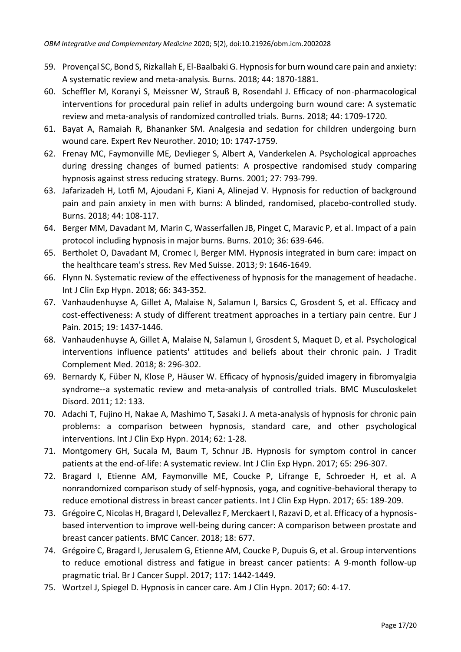- 59. Provençal SC, Bond S, Rizkallah E, El-Baalbaki G. Hypnosis for burn wound care pain and anxiety: A systematic review and meta-analysis. Burns. 2018; 44: 1870-1881.
- 60. Scheffler M, Koranyi S, Meissner W, Strauß B, Rosendahl J. Efficacy of non-pharmacological interventions for procedural pain relief in adults undergoing burn wound care: A systematic review and meta-analysis of randomized controlled trials. Burns. 2018; 44: 1709-1720.
- 61. Bayat A, Ramaiah R, Bhananker SM. Analgesia and sedation for children undergoing burn wound care. Expert Rev Neurother. 2010; 10: 1747-1759.
- 62. Frenay MC, Faymonville ME, Devlieger S, Albert A, Vanderkelen A. Psychological approaches during dressing changes of burned patients: A prospective randomised study comparing hypnosis against stress reducing strategy. Burns. 2001; 27: 793-799.
- 63. Jafarizadeh H, Lotfi M, Ajoudani F, Kiani A, Alinejad V. Hypnosis for reduction of background pain and pain anxiety in men with burns: A blinded, randomised, placebo-controlled study. Burns. 2018; 44: 108-117.
- 64. Berger MM, Davadant M, Marin C, Wasserfallen JB, Pinget C, Maravic P, et al. Impact of a pain protocol including hypnosis in major burns. Burns. 2010; 36: 639-646.
- 65. Bertholet O, Davadant M, Cromec I, Berger MM. Hypnosis integrated in burn care: impact on the healthcare team's stress. Rev Med Suisse. 2013; 9: 1646-1649.
- 66. Flynn N. Systematic review of the effectiveness of hypnosis for the management of headache. Int J Clin Exp Hypn. 2018; 66: 343-352.
- 67. Vanhaudenhuyse A, Gillet A, Malaise N, Salamun I, Barsics C, Grosdent S, et al. Efficacy and cost-effectiveness: A study of different treatment approaches in a tertiary pain centre. Eur J Pain. 2015; 19: 1437-1446.
- 68. Vanhaudenhuyse A, Gillet A, Malaise N, Salamun I, Grosdent S, Maquet D, et al. Psychological interventions influence patients' attitudes and beliefs about their chronic pain. J Tradit Complement Med. 2018; 8: 296-302.
- 69. Bernardy K, Füber N, Klose P, Häuser W. Efficacy of hypnosis/guided imagery in fibromyalgia syndrome--a systematic review and meta-analysis of controlled trials. BMC Musculoskelet Disord. 2011; 12: 133.
- 70. Adachi T, Fujino H, Nakae A, Mashimo T, Sasaki J. A meta-analysis of hypnosis for chronic pain problems: a comparison between hypnosis, standard care, and other psychological interventions. Int J Clin Exp Hypn. 2014; 62: 1-28.
- 71. Montgomery GH, Sucala M, Baum T, Schnur JB. Hypnosis for symptom control in cancer patients at the end-of-life: A systematic review. Int J Clin Exp Hypn. 2017; 65: 296-307.
- 72. Bragard I, Etienne AM, Faymonville ME, Coucke P, Lifrange E, Schroeder H, et al. A nonrandomized comparison study of self-hypnosis, yoga, and cognitive-behavioral therapy to reduce emotional distress in breast cancer patients. Int J Clin Exp Hypn. 2017; 65: 189-209.
- 73. Grégoire C, Nicolas H, Bragard I, Delevallez F, Merckaert I, Razavi D, et al. Efficacy of a hypnosisbased intervention to improve well-being during cancer: A comparison between prostate and breast cancer patients. BMC Cancer. 2018; 18: 677.
- 74. Grégoire C, Bragard I, Jerusalem G, Etienne AM, Coucke P, Dupuis G, et al. Group interventions to reduce emotional distress and fatigue in breast cancer patients: A 9-month follow-up pragmatic trial. Br J Cancer Suppl. 2017; 117: 1442-1449.
- 75. Wortzel J, Spiegel D. Hypnosis in cancer care. Am J Clin Hypn. 2017; 60: 4-17.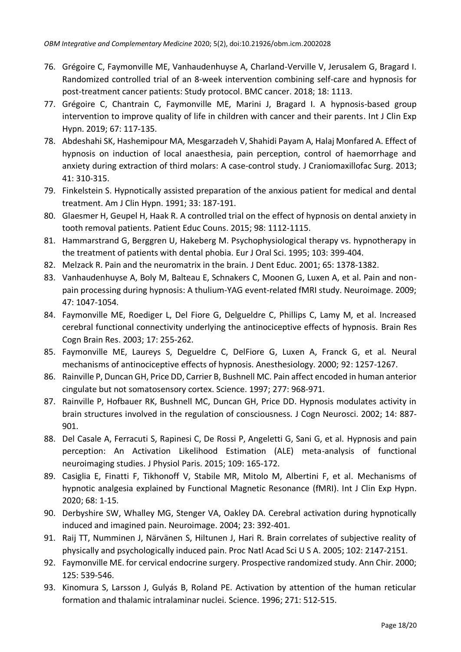- 76. Grégoire C, Faymonville ME, Vanhaudenhuyse A, Charland-Verville V, Jerusalem G, Bragard I. Randomized controlled trial of an 8-week intervention combining self-care and hypnosis for post-treatment cancer patients: Study protocol. BMC cancer. 2018; 18: 1113.
- 77. Grégoire C, Chantrain C, Faymonville ME, Marini J, Bragard I. A hypnosis-based group intervention to improve quality of life in children with cancer and their parents. Int J Clin Exp Hypn. 2019; 67: 117-135.
- 78. Abdeshahi SK, Hashemipour MA, Mesgarzadeh V, Shahidi Payam A, Halaj Monfared A. Effect of hypnosis on induction of local anaesthesia, pain perception, control of haemorrhage and anxiety during extraction of third molars: A case-control study. J Craniomaxillofac Surg. 2013; 41: 310-315.
- 79. Finkelstein S. Hypnotically assisted preparation of the anxious patient for medical and dental treatment. Am J Clin Hypn. 1991; 33: 187-191.
- 80. Glaesmer H, Geupel H, Haak R. A controlled trial on the effect of hypnosis on dental anxiety in tooth removal patients. Patient Educ Couns. 2015; 98: 1112-1115.
- 81. Hammarstrand G, Berggren U, Hakeberg M. Psychophysiological therapy vs. hypnotherapy in the treatment of patients with dental phobia. Eur J Oral Sci. 1995; 103: 399-404.
- 82. Melzack R. Pain and the neuromatrix in the brain. J Dent Educ. 2001; 65: 1378-1382.
- 83. Vanhaudenhuyse A, Boly M, Balteau E, Schnakers C, Moonen G, Luxen A, et al. Pain and nonpain processing during hypnosis: A thulium-YAG event-related fMRI study. Neuroimage. 2009; 47: 1047-1054.
- 84. Faymonville ME, Roediger L, Del Fiore G, Delgueldre C, Phillips C, Lamy M, et al. Increased cerebral functional connectivity underlying the antinociceptive effects of hypnosis. Brain Res Cogn Brain Res. 2003; 17: 255-262.
- 85. Faymonville ME, Laureys S, Degueldre C, DelFiore G, Luxen A, Franck G, et al. Neural mechanisms of antinociceptive effects of hypnosis. Anesthesiology. 2000; 92: 1257-1267.
- 86. Rainville P, Duncan GH, Price DD, Carrier B, Bushnell MC. Pain affect encoded in human anterior cingulate but not somatosensory cortex. Science. 1997; 277: 968-971.
- 87. Rainville P, Hofbauer RK, Bushnell MC, Duncan GH, Price DD. Hypnosis modulates activity in brain structures involved in the regulation of consciousness. J Cogn Neurosci. 2002; 14: 887- 901.
- 88. Del Casale A, Ferracuti S, Rapinesi C, De Rossi P, Angeletti G, Sani G, et al. Hypnosis and pain perception: An Activation Likelihood Estimation (ALE) meta-analysis of functional neuroimaging studies. J Physiol Paris. 2015; 109: 165-172.
- 89. Casiglia E, Finatti F, Tikhonoff V, Stabile MR, Mitolo M, Albertini F, et al. Mechanisms of hypnotic analgesia explained by Functional Magnetic Resonance (fMRI). Int J Clin Exp Hypn. 2020; 68: 1-15.
- 90. Derbyshire SW, Whalley MG, Stenger VA, Oakley DA. Cerebral activation during hypnotically induced and imagined pain. Neuroimage. 2004; 23: 392-401.
- 91. Raij TT, Numminen J, Närvänen S, Hiltunen J, Hari R. Brain correlates of subjective reality of physically and psychologically induced pain. Proc Natl Acad Sci U S A. 2005; 102: 2147-2151.
- 92. Faymonville ME. for cervical endocrine surgery. Prospective randomized study. Ann Chir. 2000; 125: 539-546.
- 93. Kinomura S, Larsson J, Gulyás B, Roland PE. Activation by attention of the human reticular formation and thalamic intralaminar nuclei. Science. 1996; 271: 512-515.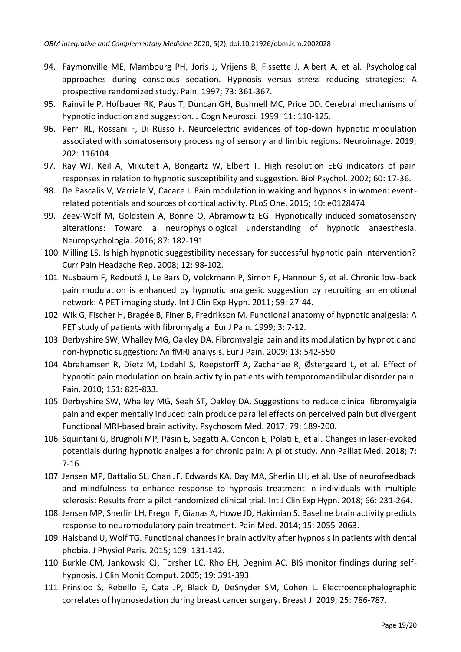- 94. Faymonville ME, Mambourg PH, Joris J, Vrijens B, Fissette J, Albert A, et al. Psychological approaches during conscious sedation. Hypnosis versus stress reducing strategies: A prospective randomized study. Pain. 1997; 73: 361-367.
- 95. Rainville P, Hofbauer RK, Paus T, Duncan GH, Bushnell MC, Price DD. Cerebral mechanisms of hypnotic induction and suggestion. J Cogn Neurosci. 1999; 11: 110-125.
- 96. Perri RL, Rossani F, Di Russo F. Neuroelectric evidences of top-down hypnotic modulation associated with somatosensory processing of sensory and limbic regions. Neuroimage. 2019; 202: 116104.
- 97. Ray WJ, Keil A, Mikuteit A, Bongartz W, Elbert T. High resolution EEG indicators of pain responses in relation to hypnotic susceptibility and suggestion. Biol Psychol. 2002; 60: 17-36.
- 98. De Pascalis V, Varriale V, Cacace I. Pain modulation in waking and hypnosis in women: eventrelated potentials and sources of cortical activity. PLoS One. 2015; 10: e0128474.
- 99. Zeev-Wolf M, Goldstein A, Bonne O, Abramowitz EG. Hypnotically induced somatosensory alterations: Toward a neurophysiological understanding of hypnotic anaesthesia. Neuropsychologia. 2016; 87: 182-191.
- 100. Milling LS. Is high hypnotic suggestibility necessary for successful hypnotic pain intervention? Curr Pain Headache Rep. 2008; 12: 98-102.
- 101. Nusbaum F, Redouté J, Le Bars D, Volckmann P, Simon F, Hannoun S, et al. Chronic low-back pain modulation is enhanced by hypnotic analgesic suggestion by recruiting an emotional network: A PET imaging study. Int J Clin Exp Hypn. 2011; 59: 27-44.
- 102. Wik G, Fischer H, Bragée B, Finer B, Fredrikson M. Functional anatomy of hypnotic analgesia: A PET study of patients with fibromyalgia. Eur J Pain. 1999; 3: 7-12.
- 103. Derbyshire SW, Whalley MG, Oakley DA. Fibromyalgia pain and its modulation by hypnotic and non-hypnotic suggestion: An fMRI analysis. Eur J Pain. 2009; 13: 542-550.
- 104. Abrahamsen R, Dietz M, Lodahl S, Roepstorff A, Zachariae R, Ø stergaard L, et al. Effect of hypnotic pain modulation on brain activity in patients with temporomandibular disorder pain. Pain. 2010; 151: 825-833.
- 105. Derbyshire SW, Whalley MG, Seah ST, Oakley DA. Suggestions to reduce clinical fibromyalgia pain and experimentally induced pain produce parallel effects on perceived pain but divergent Functional MRI-based brain activity. Psychosom Med. 2017; 79: 189-200.
- 106. Squintani G, Brugnoli MP, Pasin E, Segatti A, Concon E, Polati E, et al. Changes in laser-evoked potentials during hypnotic analgesia for chronic pain: A pilot study. Ann Palliat Med. 2018; 7: 7-16.
- 107. Jensen MP, Battalio SL, Chan JF, Edwards KA, Day MA, Sherlin LH, et al. Use of neurofeedback and mindfulness to enhance response to hypnosis treatment in individuals with multiple sclerosis: Results from a pilot randomized clinical trial. Int J Clin Exp Hypn. 2018; 66: 231-264.
- 108. Jensen MP, Sherlin LH, Fregni F, Gianas A, Howe JD, Hakimian S. Baseline brain activity predicts response to neuromodulatory pain treatment. Pain Med. 2014; 15: 2055-2063.
- 109. Halsband U, Wolf TG. Functional changes in brain activity after hypnosis in patients with dental phobia. J Physiol Paris. 2015; 109: 131-142.
- 110. Burkle CM, Jankowski CJ, Torsher LC, Rho EH, Degnim AC. BIS monitor findings during selfhypnosis. J Clin Monit Comput. 2005; 19: 391-393.
- 111. Prinsloo S, Rebello E, Cata JP, Black D, DeSnyder SM, Cohen L. Electroencephalographic correlates of hypnosedation during breast cancer surgery. Breast J. 2019; 25: 786-787.